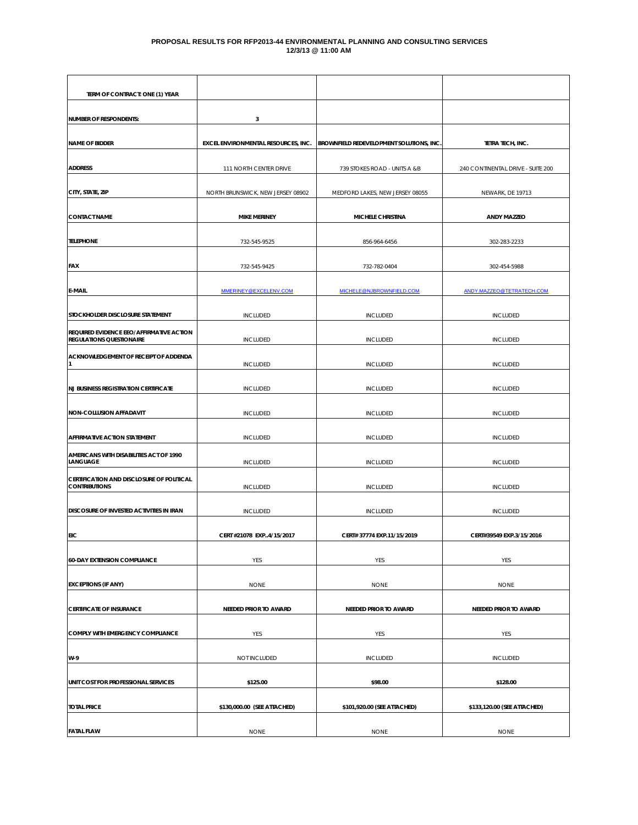#### **PROPOSAL RESULTS FOR RFP2013-44 ENVIRONMENTAL PLANNING AND CONSULTING SERVICES 12/3/13 @ 11:00 AM**

| TERM OF CONTRACT: ONE (1) YEAR                                              |                                            |                                         |                                   |
|-----------------------------------------------------------------------------|--------------------------------------------|-----------------------------------------|-----------------------------------|
|                                                                             |                                            |                                         |                                   |
| <b>NUMBER OF RESPONDENTS:</b>                                               | 3                                          |                                         |                                   |
| <b>NAME OF BIDDER</b>                                                       | <b>EXCEL ENVIRONMENTAL RESOURCES, INC.</b> | BROWNFIELD REDEVELOPMENT SOLUTIONS, INC | TETRA TECH, INC.                  |
| <b>ADDRESS</b>                                                              | 111 NORTH CENTER DRIVE                     | 739 STOKES ROAD - UNITS A &B            | 240 CONTINENTAL DRIVE - SUITE 200 |
| CITY, STATE, ZIP                                                            | NORTH BRUNSWICK, NEW JERSEY 08902          | MEDFORD LAKES, NEW JERSEY 08055         | NEWARK, DE 19713                  |
| <b>CONTACT NAME</b>                                                         | <b>MIKE MERINEY</b>                        | MICHELE CHRISTINA                       | <b>ANDY MAZZEO</b>                |
|                                                                             |                                            |                                         |                                   |
| <b>TELEPHONE</b>                                                            | 732-545-9525                               | 856-964-6456                            | 302-283-2233                      |
| FAX                                                                         | 732-545-9425                               | 732-782-0404                            | 302-454-5988                      |
| <b>E-MAIL</b>                                                               | MMERINEY@EXCELENV.COM                      | MICHELE@NJBROWNFIELD.COM                | ANDY.MAZZEO@TETRATECH.COM         |
| STOCKHOLDER DISCLOSURE STATEMENT                                            | <b>INCLUDED</b>                            | <b>INCLUDED</b>                         | <b>INCLUDED</b>                   |
| REQUIRED EVIDENCE EEO/AFFIRMATIVE ACTION<br><b>REGULATIONS QUESTIONAIRE</b> | <b>INCLUDED</b>                            | <b>INCLUDED</b>                         | <b>INCLUDED</b>                   |
| ACKNOWLEDGEMENT OF RECEIPT OF ADDENDA                                       | <b>INCLUDED</b>                            | <b>INCLUDED</b>                         | <b>INCLUDED</b>                   |
| <b>NJ BUSINESS REGISTRATION CERTIFICATE</b>                                 | <b>INCLUDED</b>                            | <b>INCLUDED</b>                         | <b>INCLUDED</b>                   |
| <b>NON-COLLUSION AFFADAVIT</b>                                              | <b>INCLUDED</b>                            | <b>INCLUDED</b>                         | <b>INCLUDED</b>                   |
| <b>AFFIRMATIVE ACTION STATEMENT</b>                                         | <b>INCLUDED</b>                            | <b>INCLUDED</b>                         | <b>INCLUDED</b>                   |
| AMERICANS WITH DISABILITIES ACT OF 1990<br>LANGUAGE                         | <b>INCLUDED</b>                            | <b>INCLUDED</b>                         | <b>INCLUDED</b>                   |
| CERTIFICATION AND DISCLOSURE OF POLITICAL<br><b>CONTRIBUTIONS</b>           | <b>INCLUDED</b>                            | <b>INCLUDED</b>                         | <b>INCLUDED</b>                   |
| DISCOSURE OF INVESTED ACTIVITIES IN IRAN                                    | <b>INCLUDED</b>                            | <b>INCLUDED</b>                         | <b>INCLUDED</b>                   |
| EIC                                                                         | CERT #21078 EXP4/15/2017                   | CERT# 37774 EXP.11/15/2019              | CERT#39549 EXP.3/15/2016          |
| <b>60-DAY EXTENSION COMPLIANCE</b>                                          | YES                                        | YES                                     | YES                               |
| <b>EXCEPTIONS (IF ANY)</b>                                                  | <b>NONE</b>                                | <b>NONE</b>                             | <b>NONE</b>                       |
| <b>CERTIFICATE OF INSURANCE</b>                                             | <b>NEEDED PRIOR TO AWARD</b>               | <b>NEEDED PRIOR TO AWARD</b>            | <b>NEEDED PRIOR TO AWARD</b>      |
| COMPLY WITH EMERGENCY COMPLIANCE                                            | YES                                        | YES                                     | YES                               |
|                                                                             |                                            |                                         |                                   |
| W-9                                                                         | NOT INCLUDED                               | <b>INCLUDED</b>                         | <b>INCLUDED</b>                   |
| UNIT COST FOR PROFESSIONAL SERVICES                                         | \$125.00                                   | \$98.00                                 | \$128.00                          |
| <b>TOTAL PRICE</b>                                                          | \$130,000.00 (SEE ATTACHED)                | \$101,920.00 (SEE ATTACHED)             | \$133,120.00 (SEE ATTACHED)       |
| <b>FATAL FLAW</b>                                                           | <b>NONE</b>                                | <b>NONE</b>                             | <b>NONE</b>                       |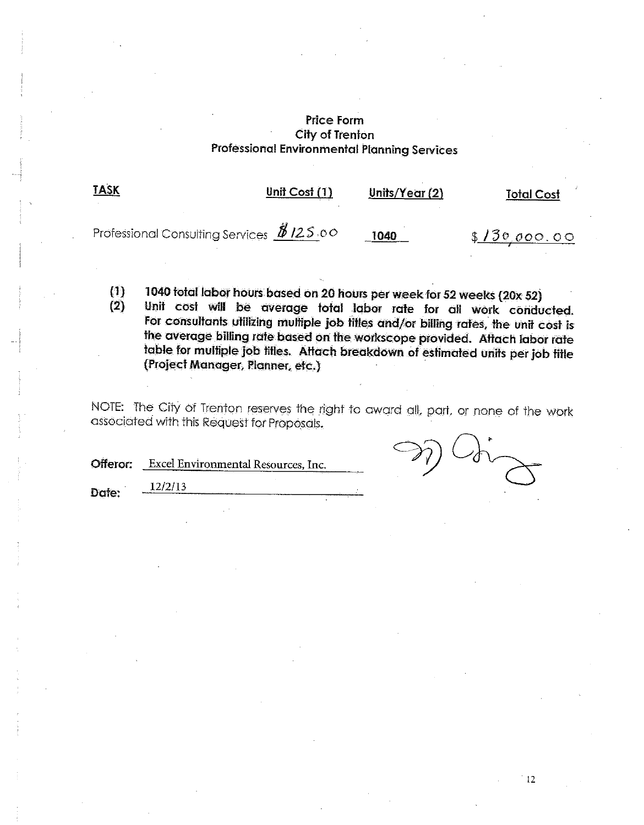# **Price Form** City of Trenton Professional Environmental Planning Services

| <u> FASK</u>                                                                      | Unit Cost $(1)$ | Units/Year (2) | <b>Total Cost</b>    |
|-----------------------------------------------------------------------------------|-----------------|----------------|----------------------|
| Professional Consulting Services $\frac{\cancel{B}}{\cancel{B}}$ 12.5 $\cdot$ 0.0 |                 | 1040           | \$ <u>130,000.00</u> |

- 1040 total labor hours based on 20 hours per week for 52 weeks (20x 52)  $(1)$
- $(2)$ Unit cost will be average total labor rate for all work conducted. For consultants utilizing multiple job fitles and/or billing rates, the unit cost is the average billing rate based on the workscope provided. Aftach labor rate table for multiple job titles. Attach breakdown of estimated units per job title (Project Manager, Planner, etc.)

NOTE: The City of Trenton reserves the right to award all, part, or none of the work associated with this Request for Proposals.

Excel Environmental Resources, Inc. Offeror:

 $12/2/13$ 

Date: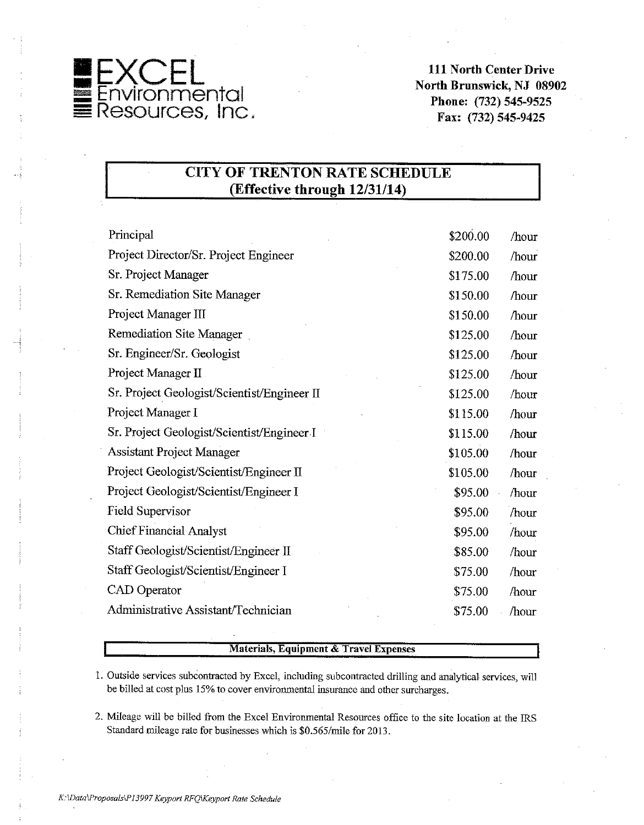# Environmental<br>Resources, Inc.

**111 North Center Drive** North Brunswick, NJ 08902 Phone: (732) 545-9525 Fax: (732) 545-9425

# **CITY OF TRENTON RATE SCHEDULE** (Effective through 12/31/14)

| Principal                                   | \$200.00 | /hour |
|---------------------------------------------|----------|-------|
| Project Director/Sr. Project Engineer       | \$200.00 | /hour |
| Sr. Project Manager                         | \$175.00 | /hour |
| Sr. Remediation Site Manager                | \$150.00 | /hour |
| Project Manager III                         | \$150.00 | /hour |
| <b>Remediation Site Manager</b>             | \$125.00 | /hour |
| Sr. Engineer/Sr. Geologist                  | \$125.00 | /hour |
| Project Manager II.                         | \$125.00 | /hour |
| Sr. Project Geologist/Scientist/Engineer II | \$125.00 | /hour |
| Project Manager I                           | \$115.00 | /hour |
| Sr. Project Geologist/Scientist/Engineer I  | \$115.00 | /hour |
| <b>Assistant Project Manager</b>            | \$105.00 | /hour |
| Project Geologist/Scientist/Engineer II     | \$105.00 | /hour |
| Project Geologist/Scientist/Engineer I      | \$95.00  | /hour |
| <b>Field Supervisor</b>                     | \$95.00  | /hour |
| <b>Chief Financial Analyst</b>              | \$95.00  | /hour |
| Staff Geologist/Scientist/Engineer II       | \$85.00  | /hour |
| Staff Geologist/Scientist/Engineer I        | \$75.00  | /hour |
| CAD Operator                                | \$75.00  | /hour |
| Administrative Assistant/Technician         | \$75.00  | /hour |

### Materials, Equipment & Travel Expenses

1. Outside services subcontracted by Excel, including subcontracted drilling and analytical services, will be billed at cost plus 15% to cover environmental insurance and other surcharges.

2. Mileage will be billed from the Excel Environmental Resources office to the site location at the IRS Standard mileage rate for businesses which is \$0.565/mile for 2013.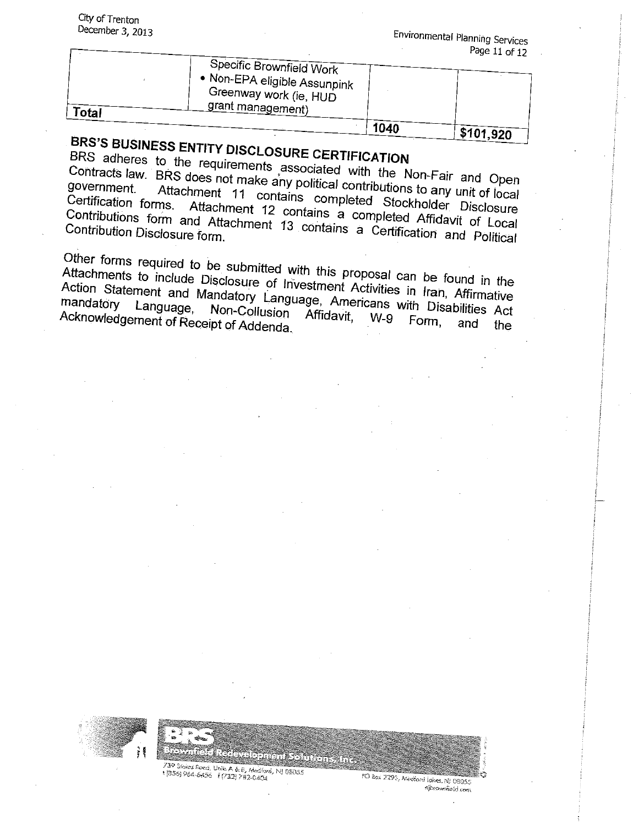| $\mathsf{T}$ ota $\bar{\mathsf{I}}$ | Specific Brownfield Work<br>Non-EPA eligible Assunpink<br>Greenway work (ie, HUD<br>grant management) |      |          |  |
|-------------------------------------|-------------------------------------------------------------------------------------------------------|------|----------|--|
|                                     |                                                                                                       | 1040 | \$101920 |  |

# BRS'S BUSINESS ENTITY DISCLOSURE CERTIFICATION

BRS adheres to the requirements associated with the Non-Fair and Open Contracts law. BRS does not make any political contributions to any unit of local government. Attachment 11 contains completed Stockholder Disclosure Certification forms. Attachment 12 contains a completed Affidavit of Local Contributions form and Attachment 13 contains a Certification and Political Contribution Disclosure form.

Other forms required to be submitted with this proposal can be found in the Attachments to include Disclosure of Investment Activities in Iran, Affirmative Action Statement and Mandatory Language, Americans with Disabilities Act Non-Collusion Acknowledgement of Receipt of Addenda. Affidavit, W-9 Form, and the



SYN FRIDRICH IN HOLE ING 739 Stokes Roed, Units A & B, Medford, NJ 08035

1 (856) 964-6456 | 1712) 782-0404

PO Box 2293, Madford Lakes, NJ 08055 niforsom the id.com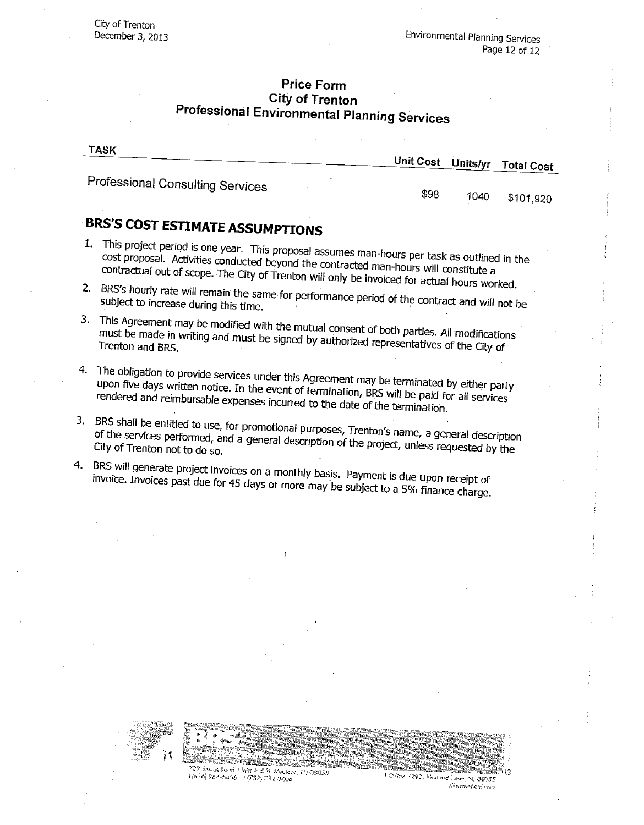# **Price Form City of Trenton Professional Environmental Planning Services**

| TASK                                    | Unit Cost Units/yr 1 |      | <b>Total Cost</b> |
|-----------------------------------------|----------------------|------|-------------------|
| <b>Professional Consulting Services</b> | \$98                 | 1040 | \$101.920         |

# **BRS'S COST ESTIMATE ASSUMPTIONS**

- 1. This project period is one year. This proposal assumes man-hours per task as outlined in the cost proposal. Activities conducted beyond the contracted man-hours will constitute a contractual out of scope. The City of Trenton will only be invoiced for actual hours worked.
- 2. BRS's hourly rate will remain the same for performance period of the contract and will not be subject to increase during this time.
- 3. This Agreement may be modified with the mutual consent of both parties. All modifications must be made in writing and must be signed by authorized representatives of the City of Trenton and BRS.
- 4. The obligation to provide services under this Agreement may be terminated by either party upon five days written notice. In the event of termination, BRS will be paid for all services rendered and reimbursable expenses incurred to the date of the termination.
- 3. BRS shall be entitled to use, for promotional purposes, Trenton's name, a general description of the services performed, and a general description of the project, unless requested by the City of Trenton not to do so.
- 4. BRS will generate project invoices on a monthly basis. Payment is due upon receipt of invoice. Invoices past due for 45 days or more may be subject to a 5% finance charge.



739 Siskos Road, Units A & B. Medford, NJ 08055 1956) 964-6456 | 1732) 782-0404

RD Bex 2293, Mediand Lakes, NJ 08033 niarowniek.com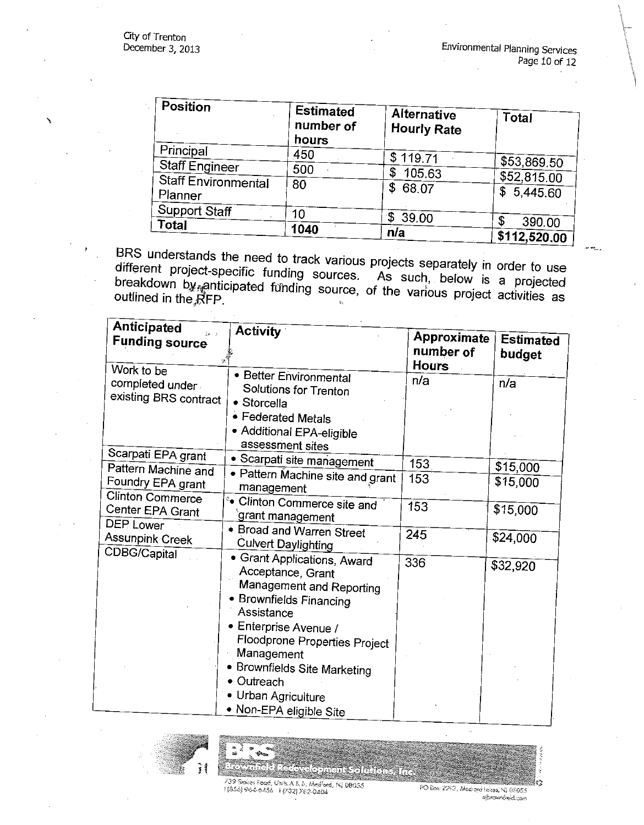| Position                       | <b>Estimated</b><br>number of<br>hours | Alternative<br><b>Hourly Rate</b> | Total                       |
|--------------------------------|----------------------------------------|-----------------------------------|-----------------------------|
| Principal                      | 450                                    | \$119.71                          |                             |
| <b>Staff Engineer</b>          | 500                                    | 105.63<br>S                       | \$53,869.50                 |
| Staff Environmental<br>Planner | 80                                     | 68.07<br>S                        | \$52,815.00<br>\$5,445.60   |
| Support Staff                  | 10                                     | 39.00                             |                             |
| Total                          | 1040                                   | n/a                               | S<br>390.00<br>\$112.520.00 |

BRS understands the need to track various projects separately in order to use different project-specific funding sources. As such, below is a projected breakdown by anticipated funding source, of the various project activities as outlined in the RFP.

| <b>Anticipated</b><br>$\frac{1}{2} \varphi = \frac{1}{2}$<br><b>Funding source</b> | <b>Activity</b>                                                                                                                                                                                                                                                                               | <b>Approximate</b><br>number of<br><b>Hours</b> | <b>Estimated</b><br>budget |
|------------------------------------------------------------------------------------|-----------------------------------------------------------------------------------------------------------------------------------------------------------------------------------------------------------------------------------------------------------------------------------------------|-------------------------------------------------|----------------------------|
| Work to be<br>completed under<br>existing BRS contract                             | · Better Environmental<br>Solutions for Trenton<br>· Storcella<br>• Federated Metals<br>· Additional EPA-eligible<br>assessment sites                                                                                                                                                         | n/a                                             | n/a                        |
| Scarpati EPA grant<br>Pattern Machine and<br>Foundry EPA grant<br>Clinton Commerce | · Scarpati site management<br>• Pattern Machine site and grant<br>management                                                                                                                                                                                                                  | 153<br>153                                      | \$15,000<br>\$15,000       |
| Center EPA Grant<br>DEP Lower<br><b>Assunpink Creek</b><br>CDBG/Capital            | <sup>e</sup> Clinton Commerce site and<br>grant management<br>• Broad and Warren Street<br><b>Culvert Daylighting</b>                                                                                                                                                                         | 153<br>245                                      | \$15,000<br>\$24,000       |
|                                                                                    | · Grant Applications, Award<br>Acceptance, Grant<br>Management and Reporting<br>• Brownfields Financing<br>Assistance<br>• Enterprise Avenue /<br>Floodprone Properties Project<br>Management<br>• Brownfields Site Marketing<br>• Outreach<br>• Urban Agriculture<br>• Non-EPA eligible Site | 336                                             | \$32,920                   |



**Architect recive outen columns** 

739 Stocker Rock, Units A.R. B. Marchard, NJ 08055<br>1856) 964-6456 1 (732) 782-0404

PO Bax 2253, Mediard Islas, NJ 08055 adorounded com

r.

t ma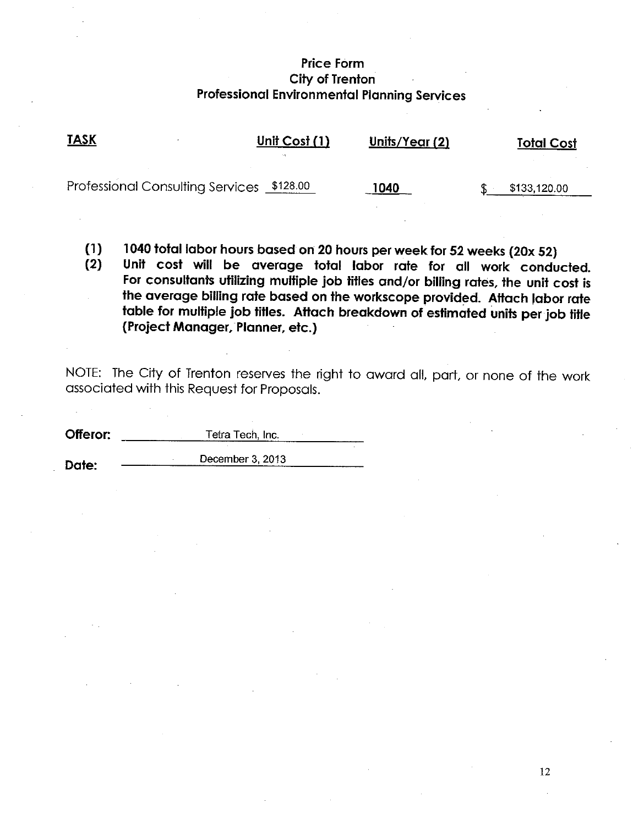# **Price Form** City of Trenton **Professional Environmental Planning Services**

| <b>TASK</b>                               | Unit $Cost(1)$<br>$\cdots$ | Units/Year (2) | <b>Total Cost</b> |
|-------------------------------------------|----------------------------|----------------|-------------------|
| Professional Consulting Services \$128.00 |                            | 1040           | \$133,120.00      |

1040 total labor hours based on 20 hours per week for 52 weeks (20x 52)  $(1)$ 

 $(2)$ Unit cost will be average total labor rate for all work conducted. For consultants utilizing multiple job titles and/or billing rates, the unit cost is the average billing rate based on the workscope provided. Attach labor rate table for multiple job titles. Attach breakdown of estimated units per job title (Project Manager, Planner, etc.)

NOTE: The City of Trenton reserves the right to award all, part, or none of the work associated with this Request for Proposals.

| Offeror: | Tetra Tech, Inc. |  |
|----------|------------------|--|
|          |                  |  |
| Date:    | December 3, 2013 |  |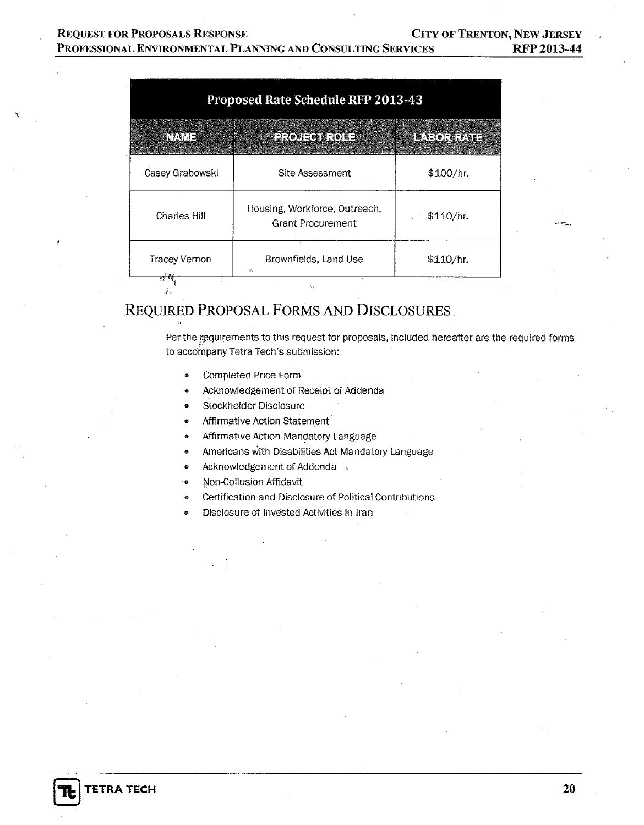#### **REQUEST FOR PROPOSALS RESPONSE CITY OF TRENTON, NEW JERSEY** PROFESSIONAL ENVIRONMENTAL PLANNING AND CONSULTING SERVICES RFP 2013-44

| Proposed Rate Schedule RFP 2013-43 |                                                           |                    |  |
|------------------------------------|-----------------------------------------------------------|--------------------|--|
| <b>MANE</b>                        | <b>EXCURDER ROLE</b>                                      | <b>PARTICIPATE</b> |  |
| Casey Grabowski                    | Site Assessment                                           | \$100/hr.          |  |
| Charles Hill                       | Housing, Workforce, Outreach,<br><b>Grant Procurement</b> | \$110/hr.          |  |
| Tracey Vernon                      | Brownfields, Land Use<br>$\infty$                         | \$110/hr.          |  |

# REQUIRED PROPOSAL FORMS AND DISCLOSURES

Per the requirements to this request for proposals, included hereafter are the required forms to accompany Tetra Tech's submission:

Completed Price Form  $\bullet$ 

 $\hat{f}$  ,

- Acknowledgement of Receipt of Addenda  $\bullet$
- Stockholder Disclosure Ġ
- **Affirmative Action Statement**  $\bullet$
- Affirmative Action Mandatory Language ia.
- Americans with Disabilities Act Mandatory Language  $\bullet$
- Acknowledgement of Addenda , ó
- Non-Collusion Affidavit  $\bullet$
- Certification and Disclosure of Political Contributions ø
- Disclosure of Invested Activities in Iran